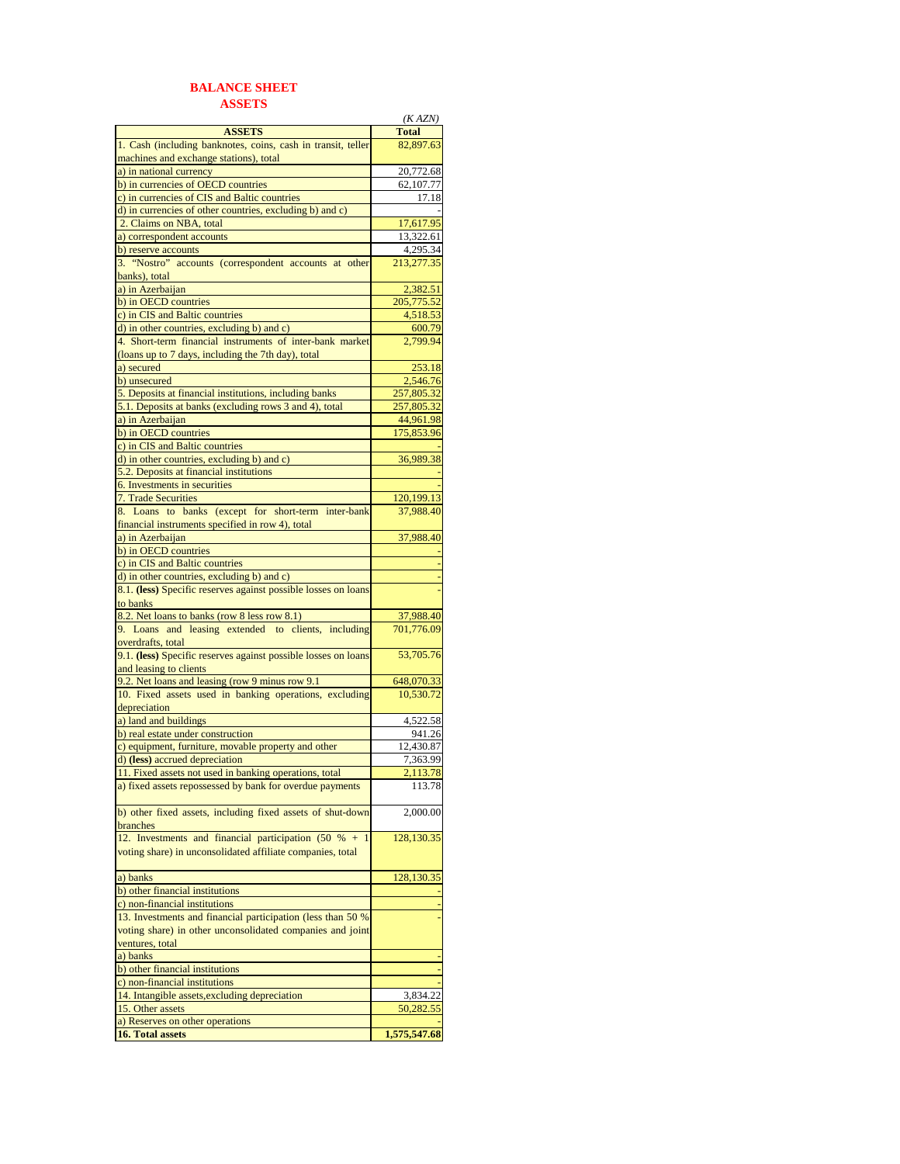## **BALANCE SHEET ASSETS**

|                                                                | (KAZN)       |
|----------------------------------------------------------------|--------------|
| <b>ASSETS</b>                                                  | <b>Total</b> |
| 1. Cash (including banknotes, coins, cash in transit, teller   | 82,897.63    |
| machines and exchange stations), total                         |              |
| a) in national currency                                        | 20,772.68    |
| b) in currencies of OECD countries                             | 62,107.77    |
| c) in currencies of CIS and Baltic countries                   | 17.18        |
| d) in currencies of other countries, excluding b) and c)       |              |
| 2. Claims on NBA, total                                        | 17,617.95    |
| a) correspondent accounts                                      | 13,322.61    |
| b) reserve accounts                                            | 4,295.34     |
| 3. "Nostro" accounts (correspondent accounts at other          | 213,277.35   |
| banks), total                                                  |              |
| a) in Azerbaijan                                               | 2.382.51     |
| b) in OECD countries                                           | 205,775.52   |
| c) in CIS and Baltic countries                                 | 4,518.53     |
| d) in other countries, excluding b) and c)                     | 600.79       |
| 4. Short-term financial instruments of inter-bank market       | 2,799.94     |
| (loans up to 7 days, including the 7th day), total             |              |
| a) secured                                                     | 253.18       |
| b) unsecured                                                   | 2,546.76     |
| 5. Deposits at financial institutions, including banks         | 257,805.32   |
| 5.1. Deposits at banks (excluding rows 3 and 4), total         | 257,805.32   |
| a) in Azerbaijan                                               | 44,961.98    |
| b) in OECD countries                                           | 175,853.96   |
| c) in CIS and Baltic countries                                 |              |
| d) in other countries, excluding b) and c)                     |              |
| 5.2. Deposits at financial institutions                        | 36,989.38    |
|                                                                |              |
| 6. Investments in securities                                   |              |
| 7. Trade Securities                                            | 120,199.13   |
| 8. Loans to banks (except for short-term inter-bank            | 37,988.40    |
| financial instruments specified in row 4), total               |              |
| a) in Azerbaijan                                               | 37,988.40    |
| b) in OECD countries                                           |              |
| c) in CIS and Baltic countries                                 |              |
| d) in other countries, excluding b) and c)                     |              |
| 8.1. (less) Specific reserves against possible losses on loans |              |
| to banks                                                       |              |
| 8.2. Net loans to banks (row 8 less row 8.1)                   | 37,988.40    |
| 9. Loans and leasing extended to clients, including            | 701,776.09   |
| overdrafts, total                                              |              |
| 9.1. (less) Specific reserves against possible losses on loans | 53,705.76    |
| and leasing to clients                                         |              |
| 9.2. Net loans and leasing (row 9 minus row 9.1)               | 648,070.33   |
| 10. Fixed assets used in banking operations, excluding         | 10,530.72    |
| depreciation                                                   |              |
| a) land and buildings                                          | 4,522.58     |
| b) real estate under construction                              | 941.26       |
| c) equipment, furniture, movable property and other            | 12,430.87    |
| d) (less) accrued depreciation                                 | 7,363.99     |
| 11. Fixed assets not used in banking operations, total         | 2.113.78     |
| a) fixed assets repossessed by bank for overdue payments       | 113.78       |
|                                                                |              |
| b) other fixed assets, including fixed assets of shut-down     | 2,000.00     |
| branches                                                       |              |
| 12. Investments and financial participation (50 % +            | 128,130.35   |
| voting share) in unconsolidated affiliate companies, total     |              |
|                                                                |              |
| a) banks                                                       | 128,130.35   |
| b) other financial institutions                                |              |
| c) non-financial institutions                                  |              |
| 13. Investments and financial participation (less than 50 %    |              |
| voting share) in other unconsolidated companies and joint      |              |
|                                                                |              |
| ventures, total                                                |              |
| a) banks                                                       |              |
| b) other financial institutions                                |              |
| c) non-financial institutions                                  |              |
| 14. Intangible assets, excluding depreciation                  | 3,834.22     |
| 15. Other assets                                               | 50,282.55    |
| a) Reserves on other operations                                |              |
| 16. Total assets                                               | 1,575,547.68 |